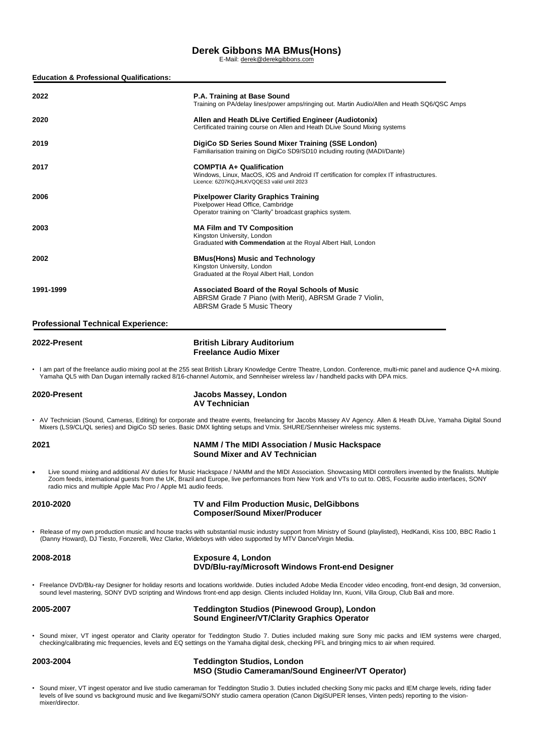# **Derek Gibbons MA BMus(Hons)** E-Mail: [derek@derekgibbons.com](mailto:derek@derekgibbons.com)

| <b>Education &amp; Professional Qualifications:</b> |  |
|-----------------------------------------------------|--|
|-----------------------------------------------------|--|

| 2022                                                                       | P.A. Training at Base Sound<br>Training on PA/delay lines/power amps/ringing out. Martin Audio/Allen and Heath SQ6/QSC Amps                                                                                                                                                                                                  |
|----------------------------------------------------------------------------|------------------------------------------------------------------------------------------------------------------------------------------------------------------------------------------------------------------------------------------------------------------------------------------------------------------------------|
| 2020                                                                       | Allen and Heath DLive Certified Engineer (Audiotonix)<br>Certificated training course on Allen and Heath DLive Sound Mixing systems                                                                                                                                                                                          |
| 2019                                                                       | DigiCo SD Series Sound Mixer Training (SSE London)<br>Familiarisation training on DigiCo SD9/SD10 including routing (MADI/Dante)                                                                                                                                                                                             |
| 2017                                                                       | <b>COMPTIA A+ Qualification</b><br>Windows, Linux, MacOS, iOS and Android IT certification for complex IT infrastructures.<br>Licence: 6Z07KQJHLKVQQES3 valid until 2023                                                                                                                                                     |
| 2006                                                                       | Pixelpower Clarity Graphics Training<br>Pixelpower Head Office, Cambridge<br>Operator training on "Clarity" broadcast graphics system.                                                                                                                                                                                       |
| 2003                                                                       | <b>MA Film and TV Composition</b><br>Kingston University, London<br>Graduated with Commendation at the Royal Albert Hall, London                                                                                                                                                                                             |
| 2002                                                                       | BMus(Hons) Music and Technology<br>Kingston University, London<br>Graduated at the Royal Albert Hall, London                                                                                                                                                                                                                 |
| 1991-1999                                                                  | Associated Board of the Royal Schools of Music<br>ABRSM Grade 7 Piano (with Merit), ABRSM Grade 7 Violin,<br><b>ABRSM Grade 5 Music Theory</b>                                                                                                                                                                               |
| <b>Professional Technical Experience:</b>                                  |                                                                                                                                                                                                                                                                                                                              |
| 2022-Present                                                               | <b>British Library Auditorium</b><br><b>Freelance Audio Mixer</b>                                                                                                                                                                                                                                                            |
|                                                                            | • I am part of the freelance audio mixing pool at the 255 seat British Library Knowledge Centre Theatre, London. Conference, multi-mic panel and audience Q+A mixing.<br>Yamaha QL5 with Dan Dugan internally racked 8/16-channel Automix, and Sennheiser wireless lav / handheld packs with DPA mics.                       |
| 2020-Present                                                               | Jacobs Massey, London<br><b>AV Technician</b>                                                                                                                                                                                                                                                                                |
|                                                                            | • AV Technician (Sound, Cameras, Editing) for corporate and theatre events, freelancing for Jacobs Massey AV Agency. Allen & Heath DLive, Yamaha Digital Sound<br>Mixers (LS9/CL/QL series) and DigiCo SD series. Basic DMX lighting setups and Vmix. SHURE/Sennheiser wireless mic systems.                                 |
| 2021                                                                       | <b>NAMM / The MIDI Association / Music Hackspace</b><br><b>Sound Mixer and AV Technician</b>                                                                                                                                                                                                                                 |
| $\bullet$<br>radio mics and multiple Apple Mac Pro / Apple M1 audio feeds. | Live sound mixing and additional AV duties for Music Hackspace / NAMM and the MIDI Association. Showcasing MIDI controllers invented by the finalists. Multiple<br>Zoom feeds, international guests from the UK, Brazil and Europe, live performances from New York and VTs to cut to. OBS, Focusrite audio interfaces, SONY |
| 2010-2020                                                                  | TV and Film Production Music, DelGibbons<br><b>Composer/Sound Mixer/Producer</b>                                                                                                                                                                                                                                             |
|                                                                            | • Release of my own production music and house tracks with substantial music industry support from Ministry of Sound (playlisted), HedKandi, Kiss 100, BBC Radio 1<br>(Danny Howard), DJ Tiesto, Fonzerelli, Wez Clarke, Wideboys with video supported by MTV Dance/Virgin Media.                                            |
| 2008-2018                                                                  | <b>Exposure 4, London</b><br>DVD/Blu-ray/Microsoft Windows Front-end Designer                                                                                                                                                                                                                                                |
|                                                                            | • Freelance DVD/Blu-ray Designer for holiday resorts and locations worldwide. Duties included Adobe Media Encoder video encoding, front-end design, 3d conversion,<br>sound level mastering, SONY DVD scripting and Windows front-end app design. Clients included Holiday Inn, Kuoni, Villa Group, Club Bali and more.      |
| 2005-2007                                                                  | <b>Teddington Studios (Pinewood Group), London</b><br><b>Sound Engineer/VT/Clarity Graphics Operator</b>                                                                                                                                                                                                                     |
|                                                                            | • Sound mixer, VT ingest operator and Clarity operator for Teddington Studio 7. Duties included making sure Sony mic packs and IEM systems were charged,<br>checking/calibrating mic frequencies, levels and EQ settings on the Yamaha digital desk, checking PFL and bringing mics to air when required.                    |
| 2003-2004                                                                  | <b>Teddington Studios, London</b><br>MSO (Studio Cameraman/Sound Engineer/VT Operator)                                                                                                                                                                                                                                       |

• Sound mixer, VT ingest operator and live studio cameraman for Teddington Studio 3. Duties included checking Sony mic packs and IEM charge levels, riding fader levels of live sound vs background music and live Ikegami/SONY studio camera operation (Canon DigiSUPER lenses, Vinten peds) reporting to the visionmixer/director.